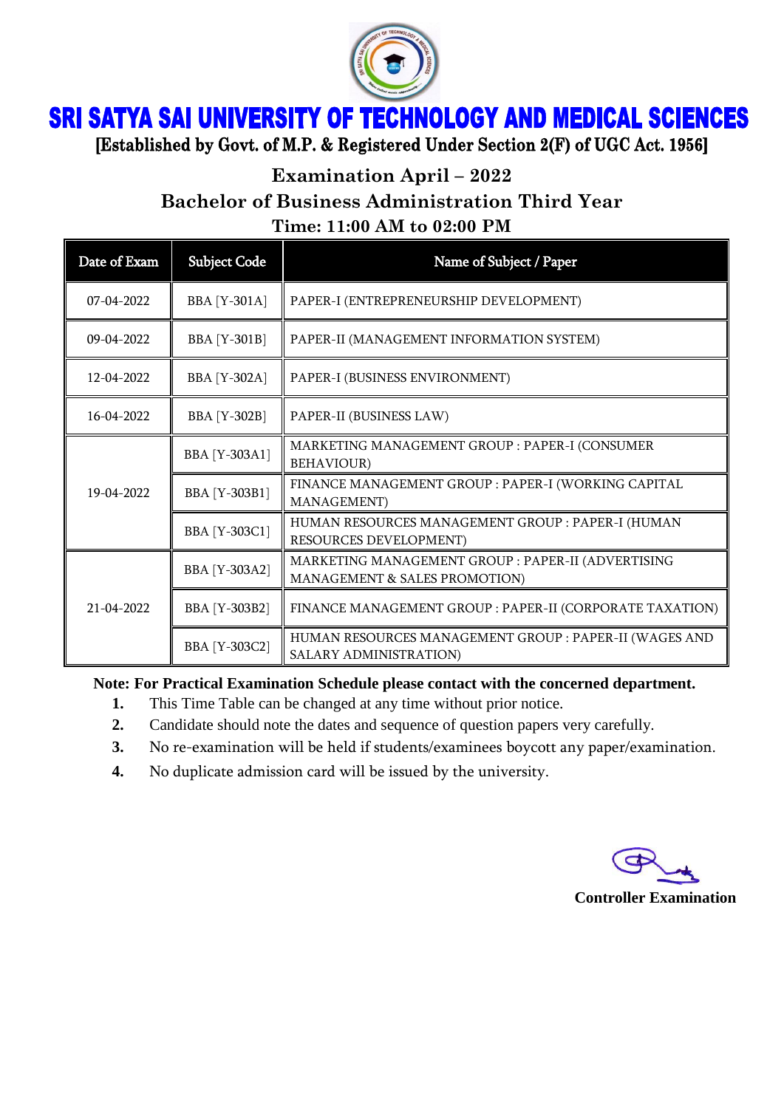

## **SRI SATYA SAI UNIVERSITY OF TECHNOLOGY AND MEDICAL SCIENCES**

[Established by Govt. of M.P. & Registered Under Section 2(F) of UGC Act. 1956]

**Examination April – 2022**

**Bachelor of Business Administration Third Year**

**Time: 11:00 AM to 02:00 PM**

| Date of Exam     | <b>Subject Code</b>  | Name of Subject / Paper                                                             |
|------------------|----------------------|-------------------------------------------------------------------------------------|
| $07 - 04 - 2022$ | <b>BBA</b> [Y-301A]  | PAPER-I (ENTREPRENEURSHIP DEVELOPMENT)                                              |
| $09-04-2022$     | <b>BBA</b> [Y-301B]  | PAPER-II (MANAGEMENT INFORMATION SYSTEM)                                            |
| 12-04-2022       | <b>BBA</b> [Y-302A]  | PAPER-I (BUSINESS ENVIRONMENT)                                                      |
| 16-04-2022       | <b>BBA</b> [Y-302B]  | PAPER-II (BUSINESS LAW)                                                             |
| 19-04-2022       | <b>BBA</b> [Y-303A1] | MARKETING MANAGEMENT GROUP : PAPER-I (CONSUMER<br><b>BEHAVIOUR</b> )                |
|                  | BBA [Y-303B1]        | FINANCE MANAGEMENT GROUP : PAPER-I (WORKING CAPITAL<br><b>MANAGEMENT</b> )          |
|                  | <b>BBA</b> [Y-303C1] | HUMAN RESOURCES MANAGEMENT GROUP : PAPER-I (HUMAN<br>RESOURCES DEVELOPMENT)         |
| 21-04-2022       | BBA [Y-303A2]        | MARKETING MANAGEMENT GROUP : PAPER-II (ADVERTISING<br>MANAGEMENT & SALES PROMOTION) |
|                  | <b>BBA [Y-303B2]</b> | FINANCE MANAGEMENT GROUP : PAPER-II (CORPORATE TAXATION)                            |
|                  | BBA [Y-303C2]        | HUMAN RESOURCES MANAGEMENT GROUP : PAPER-II (WAGES AND<br>SALARY ADMINISTRATION)    |

**Note: For Practical Examination Schedule please contact with the concerned department.**

- **1.** This Time Table can be changed at any time without prior notice.
- **2.** Candidate should note the dates and sequence of question papers very carefully.
- **3.** No re-examination will be held if students/examinees boycott any paper/examination.
- **4.** No duplicate admission card will be issued by the university.